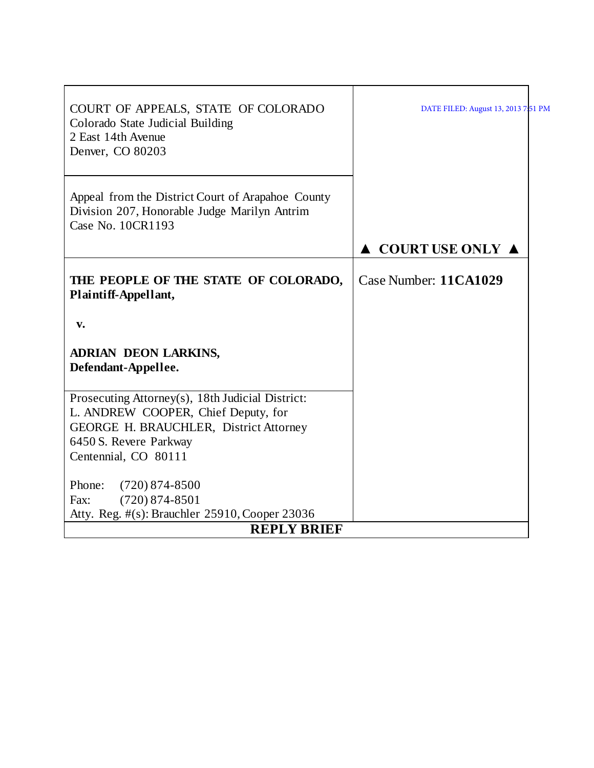| COURT OF APPEALS, STATE OF COLORADO<br>Colorado State Judicial Building<br>2 East 14th Avenue<br>Denver, CO 80203                                                                   | DATE FILED: August 13, 2013 7:51 PM    |
|-------------------------------------------------------------------------------------------------------------------------------------------------------------------------------------|----------------------------------------|
| Appeal from the District Court of Arapahoe County<br>Division 207, Honorable Judge Marilyn Antrim<br>Case No. 10CR1193                                                              |                                        |
|                                                                                                                                                                                     | $\triangle$ COURT USE ONLY $\triangle$ |
| THE PEOPLE OF THE STATE OF COLORADO,<br>Plaintiff-Appellant,                                                                                                                        | Case Number: 11CA1029                  |
| v.                                                                                                                                                                                  |                                        |
| <b>ADRIAN DEON LARKINS,</b><br>Defendant-Appellee.                                                                                                                                  |                                        |
| Prosecuting Attorney(s), 18th Judicial District:<br>L. ANDREW COOPER, Chief Deputy, for<br>GEORGE H. BRAUCHLER, District Attorney<br>6450 S. Revere Parkway<br>Centennial, CO 80111 |                                        |
|                                                                                                                                                                                     |                                        |
| Phone:<br>$(720)$ 874-8500                                                                                                                                                          |                                        |
| $(720)$ 874-8501<br>Fax:                                                                                                                                                            |                                        |
| Atty. Reg. #(s): Brauchler 25910, Cooper 23036                                                                                                                                      |                                        |
| <b>REPLY BRIEF</b>                                                                                                                                                                  |                                        |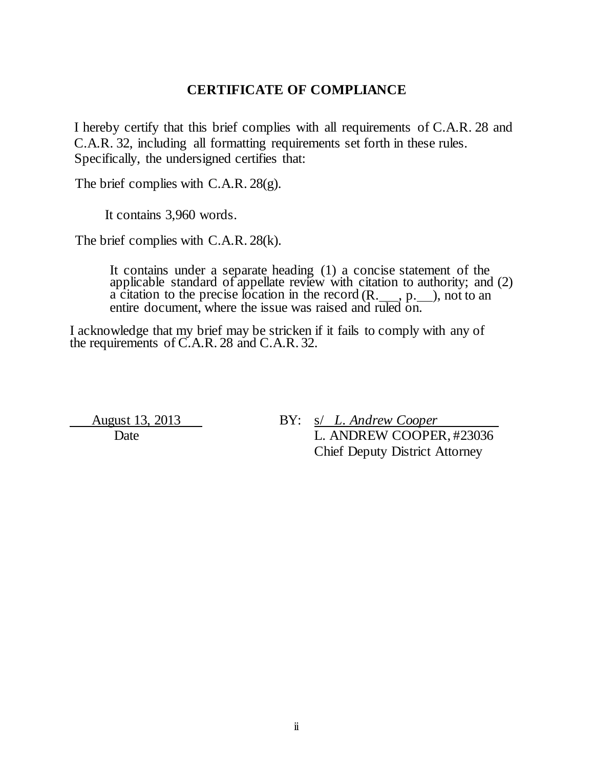### **CERTIFICATE OF COMPLIANCE**

I hereby certify that this brief complies with all requirements of C.A.R. 28 and C.A.R. 32, including all formatting requirements set forth in these rules. Specifically, the undersigned certifies that:

The brief complies with C.A.R. 28(g).

It contains 3,960 words.

The brief complies with C.A.R. 28(k).

It contains under a separate heading (1) a concise statement of the applicable standard of appellate review with citation to authority; and (2) a citation to the precise location in the record  $(R, \underline{\hspace{1cm}}, p, \underline{\hspace{1cm}})$ , not to an entire document, where the issue was raised and ruled on.

I acknowledge that my brief may be stricken if it fails to comply with any of the requirements of C.A.R. 28 and C.A.R. 32.

 August 13, 2013 BY: s/ *L. Andrew Cooper*  Date L. ANDREW COOPER, #23036 Chief Deputy District Attorney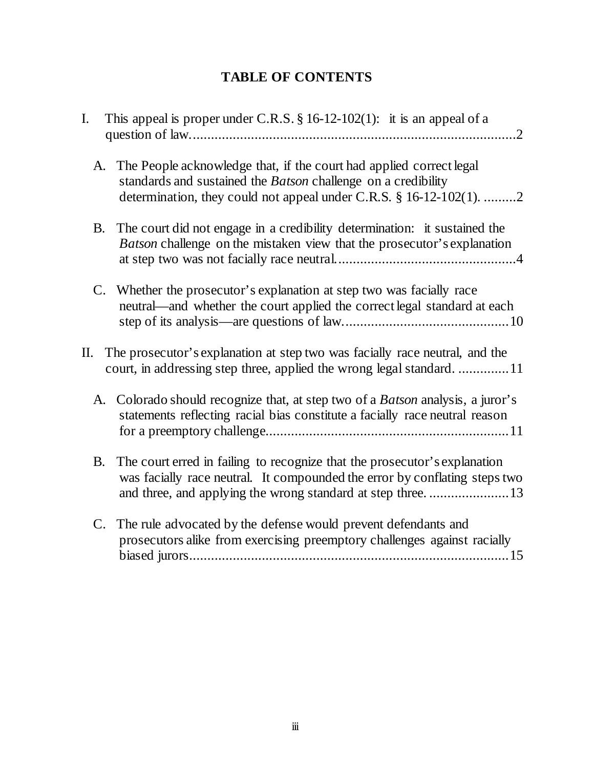# **TABLE OF CONTENTS**

| I.        | This appeal is proper under C.R.S. $\S 16-12-102(1)$ : it is an appeal of a                                                                                                                                              |
|-----------|--------------------------------------------------------------------------------------------------------------------------------------------------------------------------------------------------------------------------|
|           | A. The People acknowledge that, if the court had applied correct legal<br>standards and sustained the Batson challenge on a credibility<br>determination, they could not appeal under C.R.S. $\S 16-12-102(1)$ 2         |
| B.        | The court did not engage in a credibility determination: it sustained the<br>Batson challenge on the mistaken view that the prosecutor's explanation                                                                     |
|           | C. Whether the prosecutor's explanation at step two was facially race<br>neutral—and whether the court applied the correct legal standard at each                                                                        |
| П.        | The prosecutor's explanation at step two was facially race neutral, and the<br>court, in addressing step three, applied the wrong legal standard11                                                                       |
|           | A. Colorado should recognize that, at step two of a <i>Batson</i> analysis, a juror's<br>statements reflecting racial bias constitute a facially race neutral reason                                                     |
| <b>B.</b> | The court erred in failing to recognize that the prosecutor's explanation<br>was facially race neutral. It compounded the error by conflating steps two<br>and three, and applying the wrong standard at step three.  13 |
| C.        | The rule advocated by the defense would prevent defendants and<br>prosecutors alike from exercising preemptory challenges against racially                                                                               |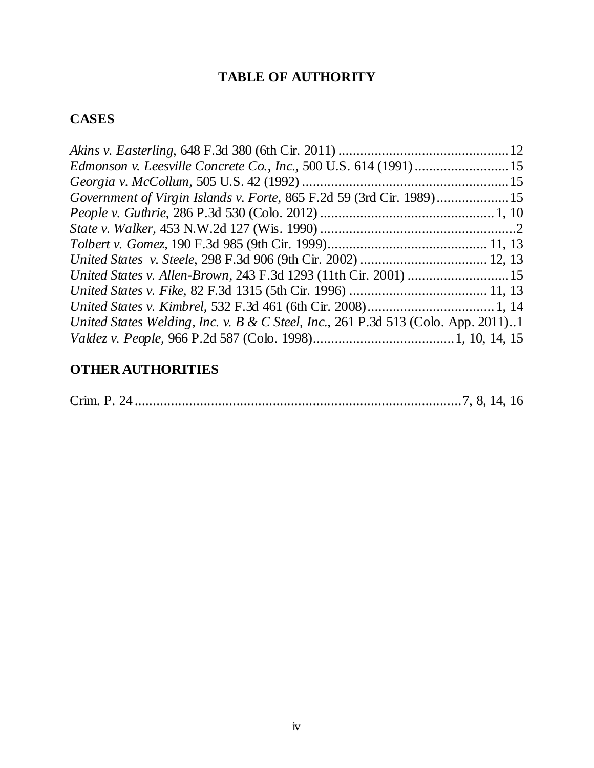# **TABLE OF AUTHORITY**

## **CASES**

| Government of Virgin Islands v. Forte, 865 F.2d 59 (3rd Cir. 1989)15              |  |
|-----------------------------------------------------------------------------------|--|
|                                                                                   |  |
|                                                                                   |  |
|                                                                                   |  |
|                                                                                   |  |
|                                                                                   |  |
|                                                                                   |  |
|                                                                                   |  |
| United States Welding, Inc. v. B & C Steel, Inc., 261 P.3d 513 (Colo. App. 2011)1 |  |
|                                                                                   |  |

# **OTHER AUTHORITIES**

|--|--|--|--|--|--|--|--|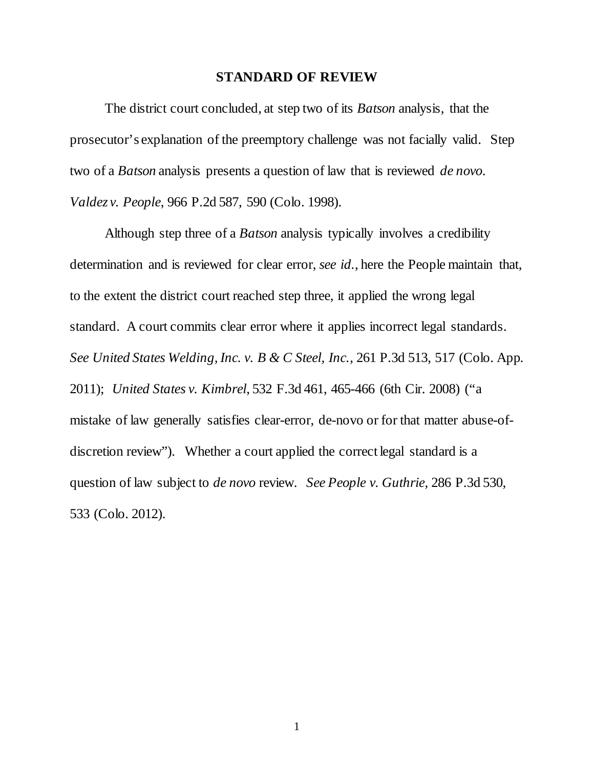#### **STANDARD OF REVIEW**

The district court concluded, at step two of its *Batson* analysis, that the prosecutor's explanation of the preemptory challenge was not facially valid. Step two of a *Batson* analysis presents a question of law that is reviewed *de novo*. *Valdez v. People*, 966 P.2d 587, 590 (Colo. 1998).

Although step three of a *Batson* analysis typically involves a credibility determination and is reviewed for clear error, *see id.*, here the People maintain that, to the extent the district court reached step three, it applied the wrong legal standard. A court commits clear error where it applies incorrect legal standards. *See United States Welding, Inc. v. B & C Steel, Inc.*, 261 P.3d 513, 517 (Colo. App. 2011); *United States v. Kimbrel*, 532 F.3d 461, 465-466 (6th Cir. 2008) ("a mistake of law generally satisfies clear-error, de-novo or for that matter abuse-ofdiscretion review"). Whether a court applied the correct legal standard is a question of law subject to *de novo* review. *See People v. Guthrie*, 286 P.3d 530, 533 (Colo. 2012).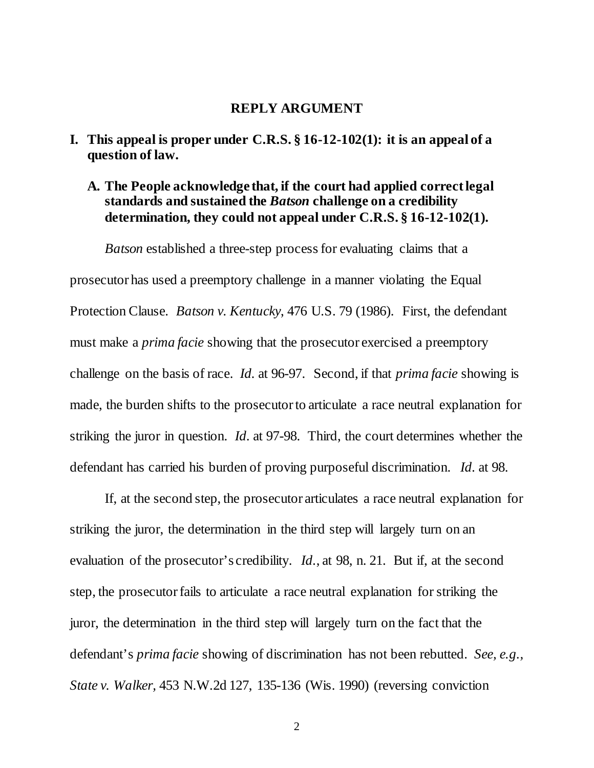#### **REPLY ARGUMENT**

- <span id="page-5-1"></span><span id="page-5-0"></span>**I. This appeal is proper under C.R.S. § 16-12-102(1): it is an appeal of a question of law.**
	- **A. The People acknowledge that, if the court had applied correct legal standards and sustained the** *Batson* **challenge on a credibility determination, they could not appeal under C.R.S. § 16-12-102(1).**

*Batson* established a three-step process for evaluating claims that a prosecutor has used a preemptory challenge in a manner violating the Equal Protection Clause. *Batson v. Kentucky*, 476 U.S. 79 (1986). First, the defendant must make a *prima facie* showing that the prosecutor exercised a preemptory challenge on the basis of race. *Id.* at 96-97. Second, if that *prima facie* showing is made, the burden shifts to the prosecutor to articulate a race neutral explanation for striking the juror in question. *Id.* at 97-98. Third, the court determines whether the defendant has carried his burden of proving purposeful discrimination. *Id.* at 98.

If, at the second step, the prosecutor articulates a race neutral explanation for striking the juror, the determination in the third step will largely turn on an evaluation of the prosecutor's credibility. *Id.*, at 98, n. 21. But if, at the second step, the prosecutor fails to articulate a race neutral explanation for striking the juror, the determination in the third step will largely turn on the fact that the defendant's *prima facie* showing of discrimination has not been rebutted. *See, e.g., State v. Walker,* 453 N.W.2d 127, 135-136 (Wis. 1990) (reversing conviction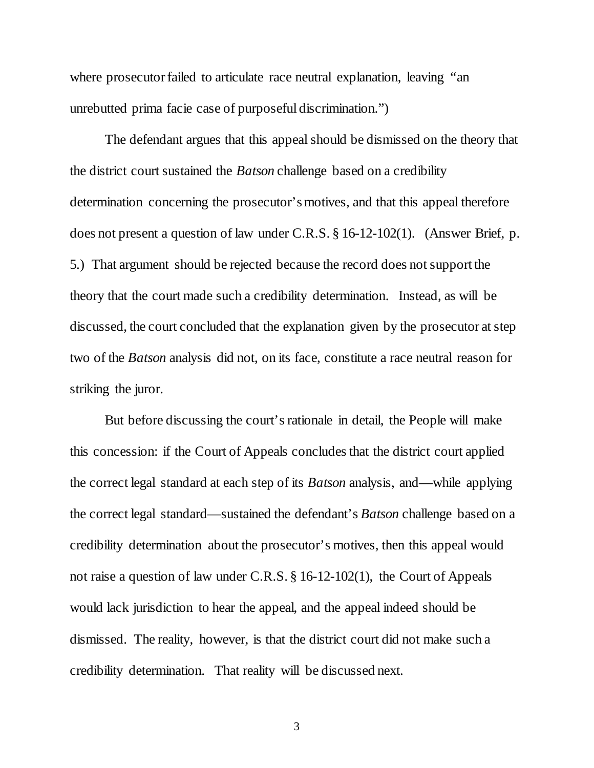where prosecutor failed to articulate race neutral explanation, leaving "an unrebutted prima facie case of purposeful discrimination.")

The defendant argues that this appeal should be dismissed on the theory that the district court sustained the *Batson* challenge based on a credibility determination concerning the prosecutor's motives, and that this appeal therefore does not present a question of law under C.R.S. § 16-12-102(1). (Answer Brief, p. 5.) That argument should be rejected because the record does not support the theory that the court made such a credibility determination. Instead, as will be discussed, the court concluded that the explanation given by the prosecutor at step two of the *Batson* analysis did not, on its face, constitute a race neutral reason for striking the juror.

But before discussing the court's rationale in detail, the People will make this concession: if the Court of Appeals concludes that the district court applied the correct legal standard at each step of its *Batson* analysis, and—while applying the correct legal standard—sustained the defendant's *Batson* challenge based on a credibility determination about the prosecutor's motives, then this appeal would not raise a question of law under C.R.S. § 16-12-102(1), the Court of Appeals would lack jurisdiction to hear the appeal, and the appeal indeed should be dismissed. The reality, however, is that the district court did not make such a credibility determination. That reality will be discussed next.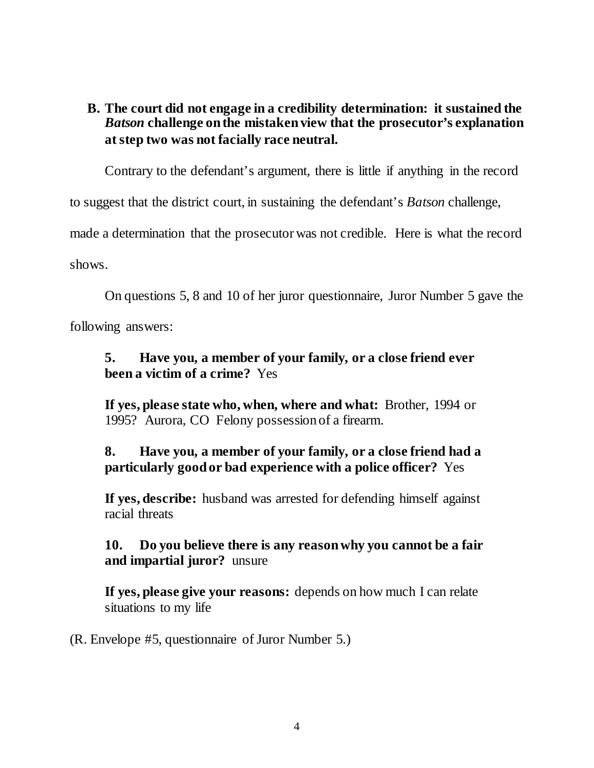## <span id="page-7-0"></span>**B. The court did not engage in a credibility determination: it sustained the**  *Batson* **challenge on the mistaken view that the prosecutor's explanation at step two was not facially race neutral.**

Contrary to the defendant's argument, there is little if anything in the record

to suggest that the district court, in sustaining the defendant's *Batson* challenge,

made a determination that the prosecutor was not credible. Here is what the record shows.

On questions 5, 8 and 10 of her juror questionnaire, Juror Number 5 gave the

following answers:

## **5. Have you, a member of your family, or a close friend ever been a victim of a crime?** Yes

**If yes, please state who, when, where and what:** Brother, 1994 or 1995? Aurora, CO Felony possession of a firearm.

## **8. Have you, a member of your family, or a close friend had a particularly good or bad experience with a police officer?** Yes

**If yes, describe:** husband was arrested for defending himself against racial threats

## **10. Do you believe there is any reason why you cannot be a fair and impartial juror?** unsure

**If yes, please give your reasons:** depends on how much I can relate situations to my life

(R. Envelope #5, questionnaire of Juror Number 5.)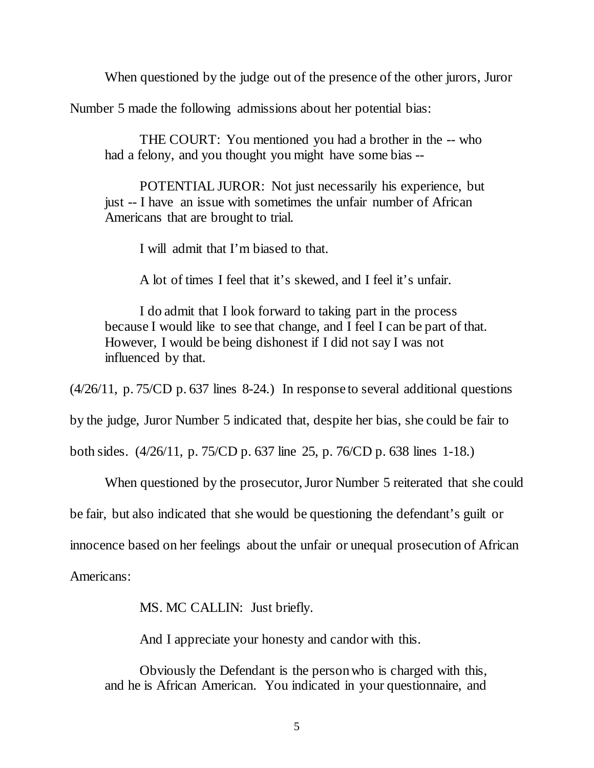When questioned by the judge out of the presence of the other jurors, Juror

Number 5 made the following admissions about her potential bias:

THE COURT: You mentioned you had a brother in the -- who had a felony, and you thought you might have some bias --

POTENTIAL JUROR: Not just necessarily his experience, but just -- I have an issue with sometimes the unfair number of African Americans that are brought to trial.

I will admit that I'm biased to that.

A lot of times I feel that it's skewed, and I feel it's unfair.

I do admit that I look forward to taking part in the process because I would like to see that change, and I feel I can be part of that. However, I would be being dishonest if I did not say I was not influenced by that.

(4/26/11, p. 75/CD p. 637 lines 8-24.) In response to several additional questions

by the judge, Juror Number 5 indicated that, despite her bias, she could be fair to

both sides. (4/26/11, p. 75/CD p. 637 line 25, p. 76/CD p. 638 lines 1-18.)

When questioned by the prosecutor, Juror Number 5 reiterated that she could

be fair, but also indicated that she would be questioning the defendant's guilt or

innocence based on her feelings about the unfair or unequal prosecution of African

Americans:

MS. MC CALLIN: Just briefly.

And I appreciate your honesty and candor with this.

Obviously the Defendant is the person who is charged with this, and he is African American. You indicated in your questionnaire, and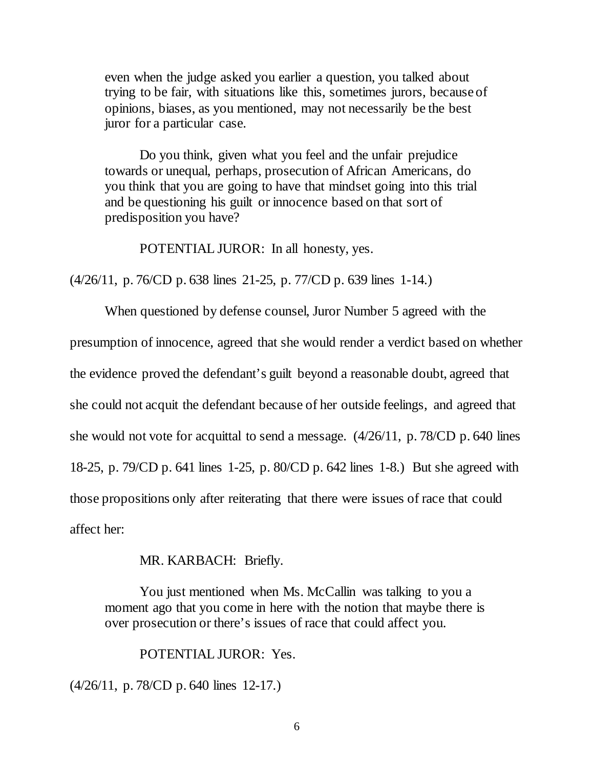even when the judge asked you earlier a question, you talked about trying to be fair, with situations like this, sometimes jurors, because of opinions, biases, as you mentioned, may not necessarily be the best juror for a particular case.

Do you think, given what you feel and the unfair prejudice towards or unequal, perhaps, prosecution of African Americans, do you think that you are going to have that mindset going into this trial and be questioning his guilt or innocence based on that sort of predisposition you have?

POTENTIAL JUROR: In all honesty, yes.

(4/26/11, p. 76/CD p. 638 lines 21-25, p. 77/CD p. 639 lines 1-14.)

When questioned by defense counsel, Juror Number 5 agreed with the presumption of innocence, agreed that she would render a verdict based on whether the evidence proved the defendant's guilt beyond a reasonable doubt, agreed that she could not acquit the defendant because of her outside feelings, and agreed that she would not vote for acquittal to send a message. (4/26/11, p. 78/CD p. 640 lines 18-25, p. 79/CD p. 641 lines 1-25, p. 80/CD p. 642 lines 1-8.) But she agreed with those propositions only after reiterating that there were issues of race that could affect her:

MR. KARBACH: Briefly.

You just mentioned when Ms. McCallin was talking to you a moment ago that you come in here with the notion that maybe there is over prosecution or there's issues of race that could affect you.

POTENTIAL JUROR: Yes.

(4/26/11, p. 78/CD p. 640 lines 12-17.)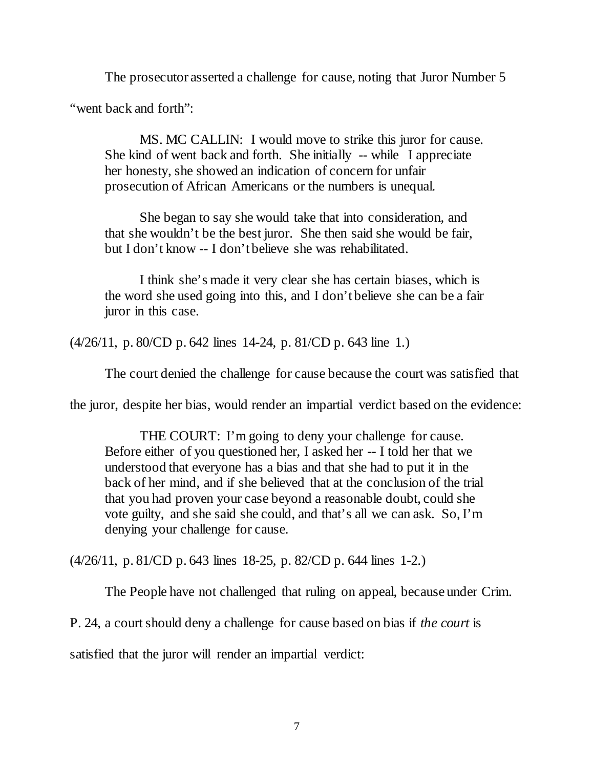The prosecutor asserted a challenge for cause, noting that Juror Number 5

"went back and forth":

MS. MC CALLIN: I would move to strike this juror for cause. She kind of went back and forth. She initially -- while I appreciate her honesty, she showed an indication of concern for unfair prosecution of African Americans or the numbers is unequal.

She began to say she would take that into consideration, and that she wouldn't be the best juror. She then said she would be fair, but I don't know -- I don't believe she was rehabilitated.

I think she's made it very clear she has certain biases, which is the word she used going into this, and I don't believe she can be a fair juror in this case.

(4/26/11, p. 80/CD p. 642 lines 14-24, p. 81/CD p. 643 line 1.)

The court denied the challenge for cause because the court was satisfied that

the juror, despite her bias, would render an impartial verdict based on the evidence:

THE COURT: I'm going to deny your challenge for cause. Before either of you questioned her, I asked her -- I told her that we understood that everyone has a bias and that she had to put it in the back of her mind, and if she believed that at the conclusion of the trial that you had proven your case beyond a reasonable doubt, could she vote guilty, and she said she could, and that's all we can ask. So, I'm denying your challenge for cause.

(4/26/11, p. 81/CD p. 643 lines 18-25, p. 82/CD p. 644 lines 1-2.)

The People have not challenged that ruling on appeal, because under Crim.

P. 24, a court should deny a challenge for cause based on bias if *the court* is

satisfied that the juror will render an impartial verdict: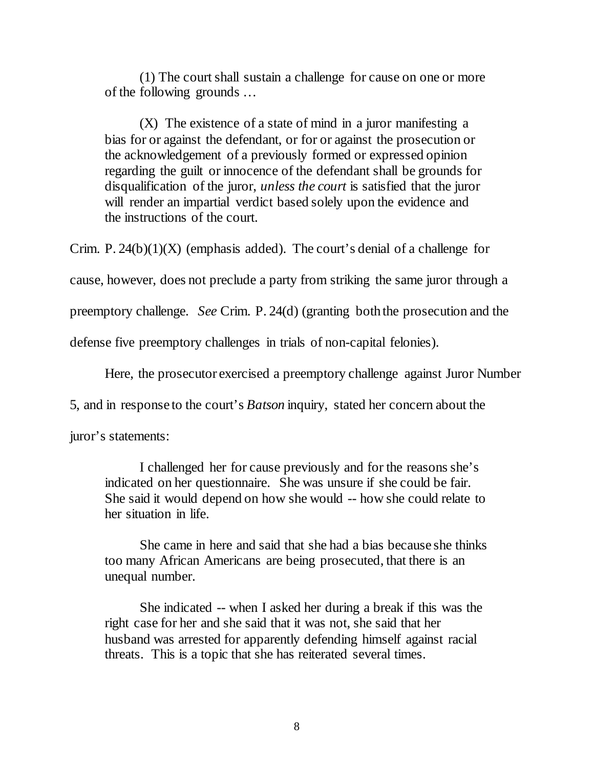(1) The court shall sustain a challenge for cause on one or more of the following grounds …

(X) The existence of a state of mind in a juror manifesting a bias for or against the defendant, or for or against the prosecution or the acknowledgement of a previously formed or expressed opinion regarding the guilt or innocence of the defendant shall be grounds for disqualification of the juror, *unless the court* is satisfied that the juror will render an impartial verdict based solely upon the evidence and the instructions of the court.

Crim. P.  $24(b)(1)(X)$  (emphasis added). The court's denial of a challenge for cause, however, does not preclude a party from striking the same juror through a preemptory challenge. *See* Crim. P. 24(d) (granting both the prosecution and the defense five preemptory challenges in trials of non-capital felonies).

Here, the prosecutor exercised a preemptory challenge against Juror Number

5, and in response to the court's *Batson* inquiry, stated her concern about the

juror's statements:

I challenged her for cause previously and for the reasons she's indicated on her questionnaire. She was unsure if she could be fair. She said it would depend on how she would -- how she could relate to her situation in life.

She came in here and said that she had a bias because she thinks too many African Americans are being prosecuted, that there is an unequal number.

She indicated -- when I asked her during a break if this was the right case for her and she said that it was not, she said that her husband was arrested for apparently defending himself against racial threats. This is a topic that she has reiterated several times.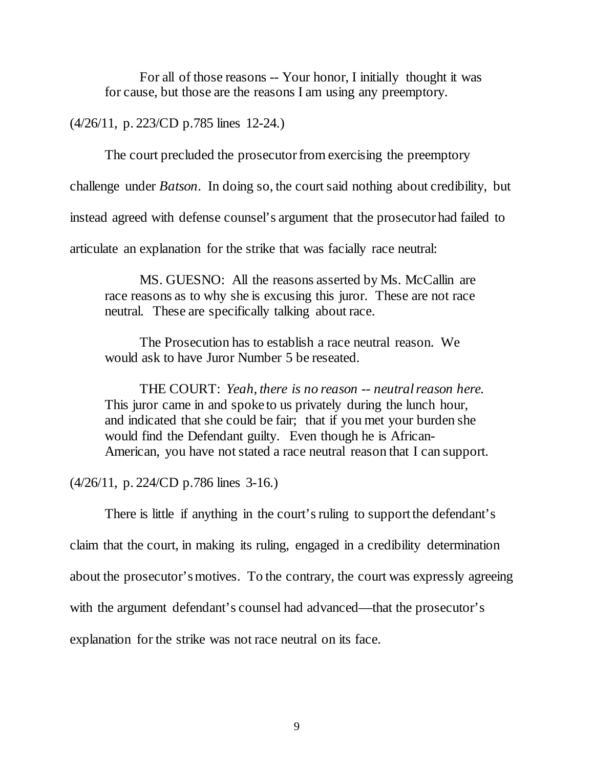For all of those reasons -- Your honor, I initially thought it was for cause, but those are the reasons I am using any preemptory.

(4/26/11, p. 223/CD p.785 lines 12-24.)

The court precluded the prosecutor from exercising the preemptory

challenge under *Batson*. In doing so, the court said nothing about credibility, but

instead agreed with defense counsel's argument that the prosecutor had failed to

articulate an explanation for the strike that was facially race neutral:

MS. GUESNO: All the reasons asserted by Ms. McCallin are race reasons as to why she is excusing this juror. These are not race neutral. These are specifically talking about race.

The Prosecution has to establish a race neutral reason. We would ask to have Juror Number 5 be reseated.

THE COURT: *Yeah, there is no reason -- neutral reason here.* This juror came in and spoke to us privately during the lunch hour, and indicated that she could be fair; that if you met your burden she would find the Defendant guilty. Even though he is African-American, you have not stated a race neutral reason that I can support.

(4/26/11, p. 224/CD p.786 lines 3-16.)

There is little if anything in the court's ruling to support the defendant's claim that the court, in making its ruling, engaged in a credibility determination about the prosecutor's motives. To the contrary, the court was expressly agreeing with the argument defendant's counsel had advanced—that the prosecutor's explanation for the strike was not race neutral on its face.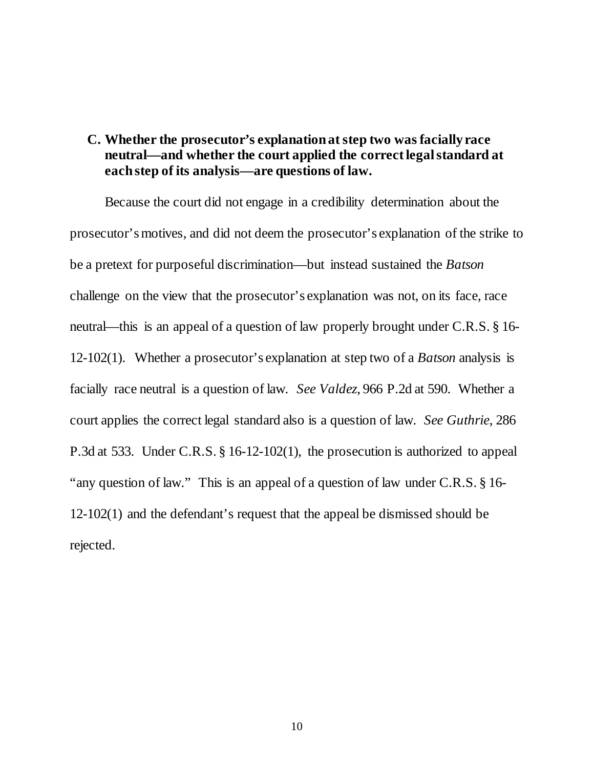#### <span id="page-13-0"></span>**C. Whether the prosecutor's explanation at step two was facially race neutral—and whether the court applied the correct legal standard at each step of its analysis—are questions of law.**

Because the court did not engage in a credibility determination about the prosecutor's motives, and did not deem the prosecutor's explanation of the strike to be a pretext for purposeful discrimination—but instead sustained the *Batson* challenge on the view that the prosecutor's explanation was not, on its face, race neutral—this is an appeal of a question of law properly brought under C.R.S. § 16- 12-102(1). Whether a prosecutor's explanation at step two of a *Batson* analysis is facially race neutral is a question of law. *See Valdez*, 966 P.2d at 590. Whether a court applies the correct legal standard also is a question of law. *See Guthrie*, 286 P.3d at 533. Under C.R.S. § 16-12-102(1), the prosecution is authorized to appeal "any question of law." This is an appeal of a question of law under C.R.S. § 16-12-102(1) and the defendant's request that the appeal be dismissed should be rejected.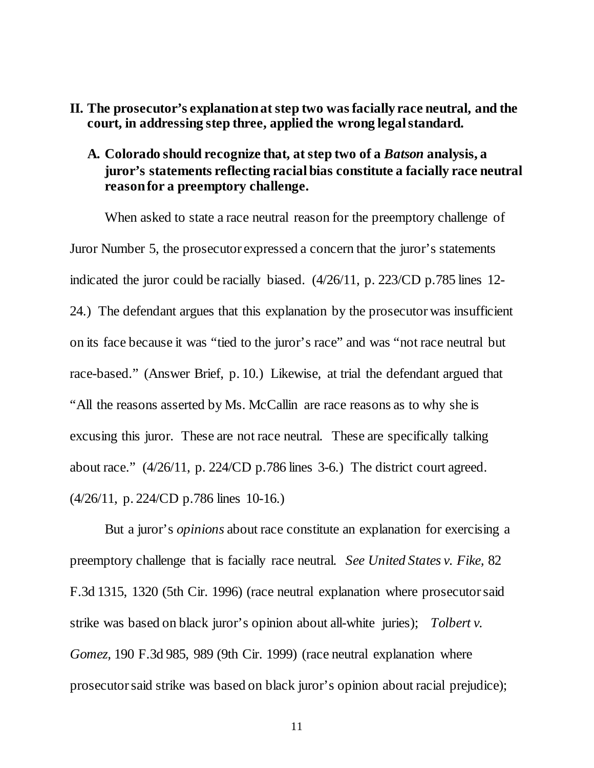- <span id="page-14-1"></span><span id="page-14-0"></span>**II. The prosecutor's explanation at step two was facially race neutral, and the court, in addressing step three, applied the wrong legal standard.**
	- **A. Colorado should recognize that, at step two of a** *Batson* **analysis, a juror's statements reflecting racial bias constitute a facially race neutral reason for a preemptory challenge.**

When asked to state a race neutral reason for the preemptory challenge of Juror Number 5, the prosecutor expressed a concern that the juror's statements indicated the juror could be racially biased. (4/26/11, p. 223/CD p.785 lines 12- 24.) The defendant argues that this explanation by the prosecutor was insufficient on its face because it was "tied to the juror's race" and was "not race neutral but race-based." (Answer Brief, p. 10.) Likewise, at trial the defendant argued that "All the reasons asserted by Ms. McCallin are race reasons as to why she is excusing this juror. These are not race neutral. These are specifically talking about race." (4/26/11, p. 224/CD p.786 lines 3-6.) The district court agreed. (4/26/11, p. 224/CD p.786 lines 10-16.)

But a juror's *opinions* about race constitute an explanation for exercising a preemptory challenge that is facially race neutral. *See United States v. Fike,* 82 F.3d 1315, 1320 (5th Cir. 1996) (race neutral explanation where prosecutor said strike was based on black juror's opinion about all-white juries); *Tolbert v. Gomez,* 190 F.3d 985, 989 (9th Cir. 1999) (race neutral explanation where prosecutor said strike was based on black juror's opinion about racial prejudice);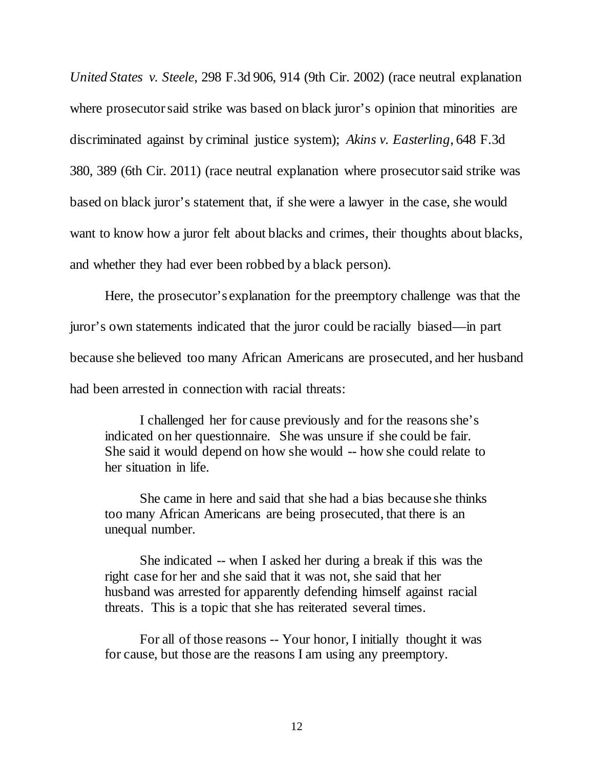*United States v. Steele*, 298 F.3d 906, 914 (9th Cir. 2002) (race neutral explanation where prosecutor said strike was based on black juror's opinion that minorities are discriminated against by criminal justice system); *Akins v. Easterling*, 648 F.3d 380, 389 (6th Cir. 2011) (race neutral explanation where prosecutorsaid strike was based on black juror's statement that, if she were a lawyer in the case, she would want to know how a juror felt about blacks and crimes, their thoughts about blacks, and whether they had ever been robbed by a black person).

Here, the prosecutor's explanation for the preemptory challenge was that the juror's own statements indicated that the juror could be racially biased—in part because she believed too many African Americans are prosecuted, and her husband had been arrested in connection with racial threats:

I challenged her for cause previously and for the reasons she's indicated on her questionnaire. She was unsure if she could be fair. She said it would depend on how she would -- how she could relate to her situation in life.

She came in here and said that she had a bias because she thinks too many African Americans are being prosecuted, that there is an unequal number.

She indicated -- when I asked her during a break if this was the right case for her and she said that it was not, she said that her husband was arrested for apparently defending himself against racial threats. This is a topic that she has reiterated several times.

For all of those reasons -- Your honor, I initially thought it was for cause, but those are the reasons I am using any preemptory.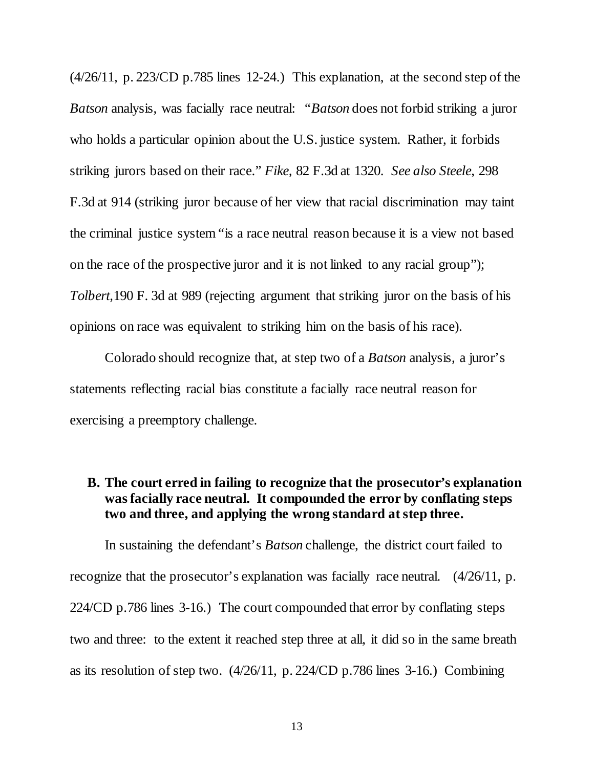(4/26/11, p. 223/CD p.785 lines 12-24.) This explanation, at the second step of the *Batson* analysis, was facially race neutral: "*Batson* does not forbid striking a juror who holds a particular opinion about the U.S. justice system. Rather, it forbids striking jurors based on their race." *Fike,* 82 F.3d at 1320. *See also Steele*, 298 F.3d at 914 (striking juror because of her view that racial discrimination may taint the criminal justice system "is a race neutral reason because it is a view not based on the race of the prospective juror and it is not linked to any racial group"); *Tolbert,*190 F. 3d at 989 (rejecting argument that striking juror on the basis of his opinions on race was equivalent to striking him on the basis of his race).

Colorado should recognize that, at step two of a *Batson* analysis, a juror's statements reflecting racial bias constitute a facially race neutral reason for exercising a preemptory challenge.

#### <span id="page-16-0"></span>**B. The court erred in failing to recognize that the prosecutor's explanation was facially race neutral. It compounded the error by conflating steps two and three, and applying the wrong standard at step three.**

In sustaining the defendant's *Batson* challenge, the district court failed to recognize that the prosecutor's explanation was facially race neutral. (4/26/11, p. 224/CD p.786 lines 3-16.) The court compounded that error by conflating steps two and three: to the extent it reached step three at all, it did so in the same breath as its resolution of step two. (4/26/11, p. 224/CD p.786 lines 3-16.) Combining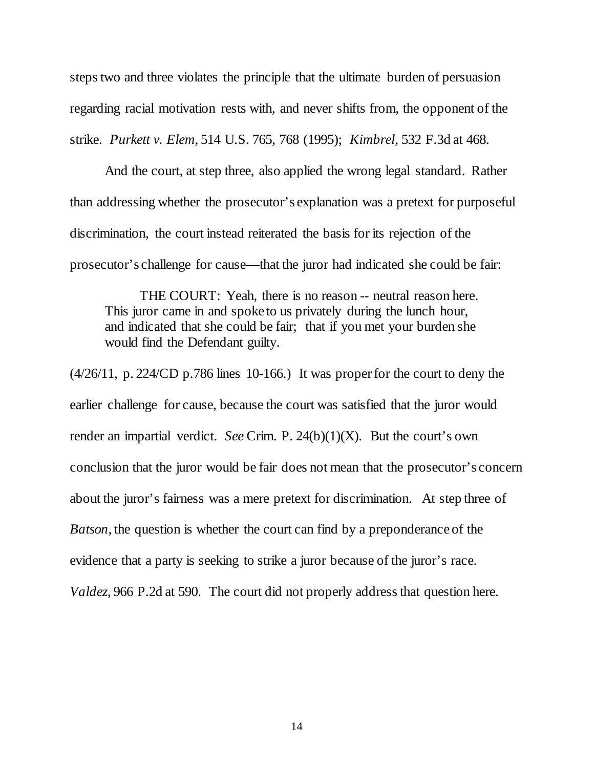steps two and three violates the principle that the ultimate burden of persuasion regarding racial motivation rests with, and never shifts from, the opponent of the strike. *Purkett v. Elem*, 514 U.S. 765, 768 (1995); *Kimbrel*, 532 F.3d at 468.

And the court, at step three, also applied the wrong legal standard. Rather than addressing whether the prosecutor's explanation was a pretext for purposeful discrimination, the court instead reiterated the basis for its rejection of the prosecutor's challenge for cause—that the juror had indicated she could be fair:

THE COURT: Yeah, there is no reason -- neutral reason here. This juror came in and spoke to us privately during the lunch hour, and indicated that she could be fair; that if you met your burden she would find the Defendant guilty.

 $(4/26/11, p. 224/CD p.786$  lines 10-166.) It was proper for the court to deny the earlier challenge for cause, because the court was satisfied that the juror would render an impartial verdict. *See* Crim. P. 24(b)(1)(X). But the court's own conclusion that the juror would be fair does not mean that the prosecutor's concern about the juror's fairness was a mere pretext for discrimination. At step three of *Batson*, the question is whether the court can find by a preponderance of the evidence that a party is seeking to strike a juror because of the juror's race. *Valdez*, 966 P.2d at 590. The court did not properly address that question here.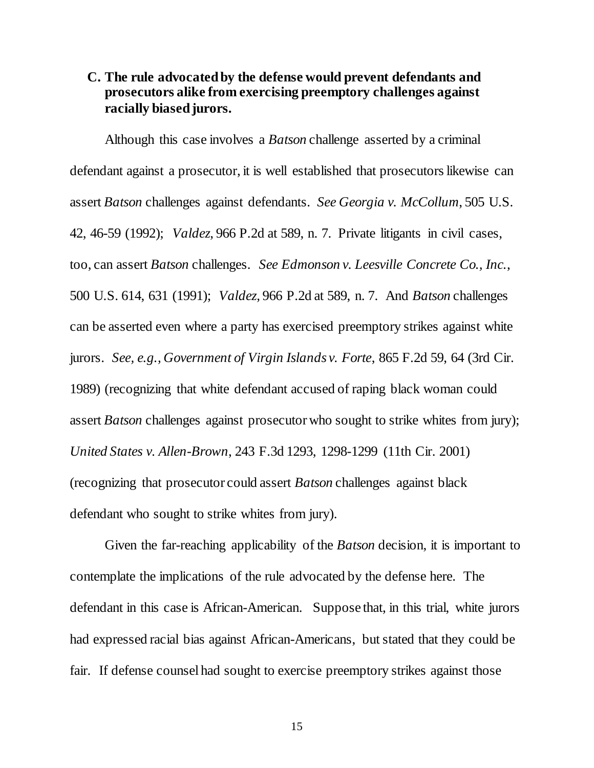#### <span id="page-18-0"></span>**C. The rule advocated by the defense would prevent defendants and prosecutors alike from exercising preemptory challenges against racially biased jurors.**

Although this case involves a *Batson* challenge asserted by a criminal defendant against a prosecutor, it is well established that prosecutors likewise can assert *Batson* challenges against defendants. *See Georgia v. McCollum*, 505 U.S. 42, 46-59 (1992); *Valdez*, 966 P.2d at 589, n. 7. Private litigants in civil cases, too, can assert *Batson* challenges. *See Edmonson v. Leesville Concrete Co., Inc.*, 500 U.S. 614, 631 (1991); *Valdez*, 966 P.2d at 589, n. 7. And *Batson* challenges can be asserted even where a party has exercised preemptory strikes against white jurors. *See, e.g., Government of Virgin Islands v. Forte*, 865 F.2d 59, 64 (3rd Cir. 1989) (recognizing that white defendant accused of raping black woman could assert *Batson* challenges against prosecutor who sought to strike whites from jury); *United States v. Allen-Brown*, 243 F.3d 1293, 1298-1299 (11th Cir. 2001) (recognizing that prosecutor could assert *Batson* challenges against black defendant who sought to strike whites from jury).

Given the far-reaching applicability of the *Batson* decision, it is important to contemplate the implications of the rule advocated by the defense here. The defendant in this case is African-American. Suppose that, in this trial, white jurors had expressed racial bias against African-Americans, but stated that they could be fair. If defense counsel had sought to exercise preemptory strikes against those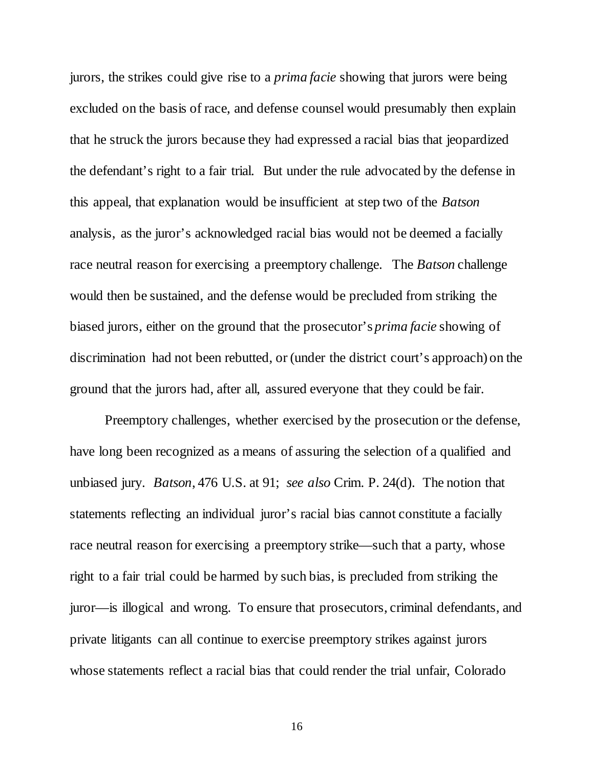jurors, the strikes could give rise to a *prima facie* showing that jurors were being excluded on the basis of race, and defense counsel would presumably then explain that he struck the jurors because they had expressed a racial bias that jeopardized the defendant's right to a fair trial. But under the rule advocated by the defense in this appeal, that explanation would be insufficient at step two of the *Batson* analysis, as the juror's acknowledged racial bias would not be deemed a facially race neutral reason for exercising a preemptory challenge. The *Batson* challenge would then be sustained, and the defense would be precluded from striking the biased jurors, either on the ground that the prosecutor's *prima facie* showing of discrimination had not been rebutted, or (under the district court's approach) on the ground that the jurors had, after all, assured everyone that they could be fair.

Preemptory challenges, whether exercised by the prosecution or the defense, have long been recognized as a means of assuring the selection of a qualified and unbiased jury. *Batson*, 476 U.S. at 91; *see also* Crim. P. 24(d). The notion that statements reflecting an individual juror's racial bias cannot constitute a facially race neutral reason for exercising a preemptory strike—such that a party, whose right to a fair trial could be harmed by such bias, is precluded from striking the juror—is illogical and wrong. To ensure that prosecutors, criminal defendants, and private litigants can all continue to exercise preemptory strikes against jurors whose statements reflect a racial bias that could render the trial unfair, Colorado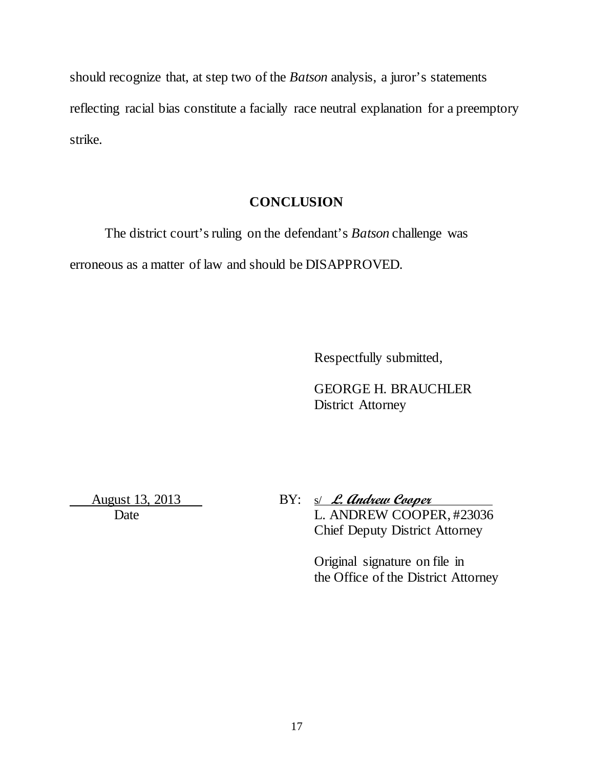should recognize that, at step two of the *Batson* analysis, a juror's statements reflecting racial bias constitute a facially race neutral explanation for a preemptory strike.

#### **CONCLUSION**

The district court's ruling on the defendant's *Batson* challenge was erroneous as a matter of law and should be DISAPPROVED.

Respectfully submitted,

GEORGE H. BRAUCHLER District Attorney

 August 13, 2013 BY: s/ **L. Andrew Cooper**  Date L. ANDREW COOPER, #23036 Chief Deputy District Attorney

> Original signature on file in the Office of the District Attorney